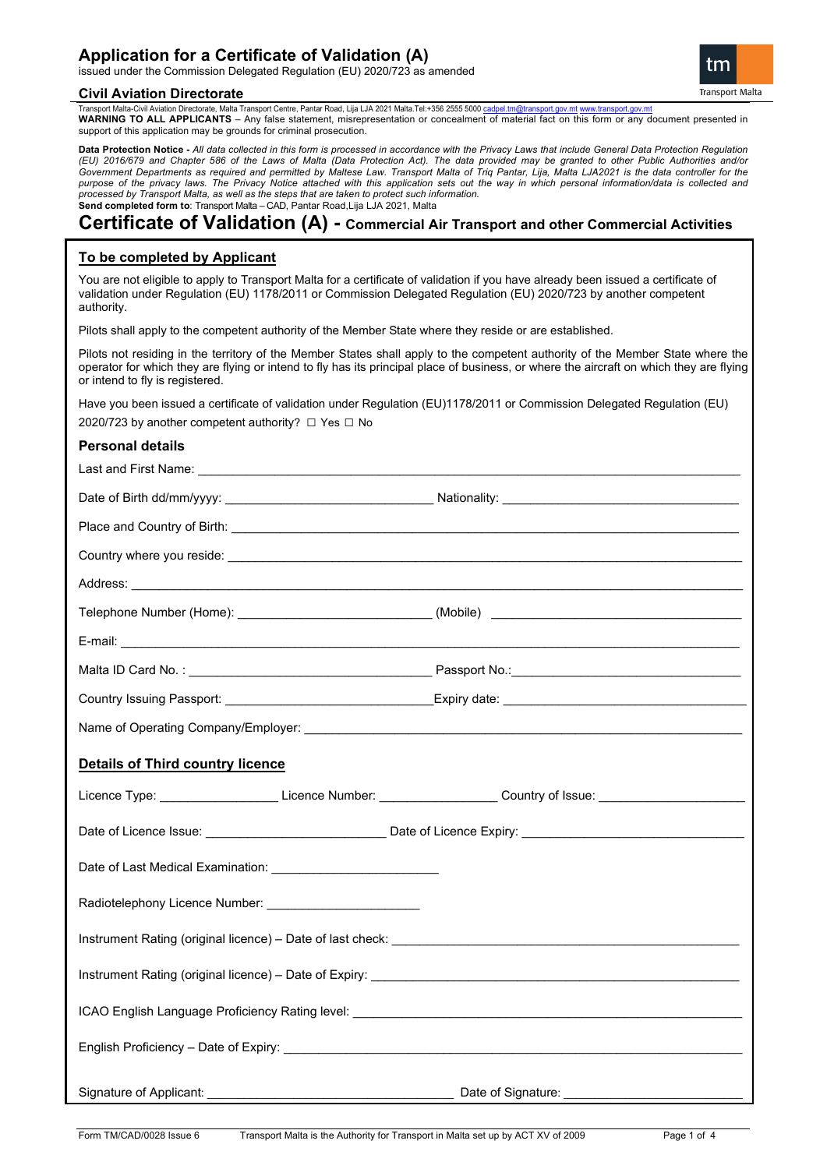# **Application for a Certificate of Validation (A)**

issued under the Commission Delegated Regulation (EU) 2020/723 as amended

#### **Civil Aviation Directorate**



Transport Malta-Civil Aviation Directorate, Malta Transport Centre, Pantar Road, Lija LJA 2021 Malta.Tel:+356 2555 5000 c **WARNING TO ALL APPLICANTS** – Any false statement, misrepresentation or concealment of material fact on this form or any document presented in support of this application may be grounds for criminal prosecution.

**Data Protection Notice -** *All data collected in this form is processed in accordance with the Privacy Laws that include General Data Protection Regulation (EU) 2016/679 and Chapter 586 of the Laws of Malta (Data Protection Act). The data provided may be granted to other Public Authorities and/or Government Departments as required and permitted by Maltese Law. Transport Malta of Triq Pantar, Lija, Malta LJA2021 is the data controller for the purpose of the privacy laws. The Privacy Notice attached with this application sets out the way in which personal information/data is collected and processed by Transport Malta, as well as the steps that are taken to protect such information.* **Send completed form to**: Transport Malta – CAD, Pantar Road,Lija LJA 2021, Malta

# **Certificate of Validation (A) - Commercial Air Transport and other Commercial Activities**

# **To be completed by Applicant**

You are not eligible to apply to Transport Malta for a certificate of validation if you have already been issued a certificate of validation under Regulation (EU) 1178/2011 or Commission Delegated Regulation (EU) 2020/723 by another competent authority.

Pilots shall apply to the competent authority of the Member State where they reside or are established.

Pilots not residing in the territory of the Member States shall apply to the competent authority of the Member State where the operator for which they are flying or intend to fly has its principal place of business, or where the aircraft on which they are flying or intend to fly is registered.

Have you been issued a certificate of validation under Regulation (EU)1178/2011 or Commission Delegated Regulation (EU) 2020/723 by another competent authority? □ Yes □ No

## **Personal details**

| Telephone Number (Home): _________________________________(Mobile) _________________________________                                                                                                                                 |  |
|--------------------------------------------------------------------------------------------------------------------------------------------------------------------------------------------------------------------------------------|--|
|                                                                                                                                                                                                                                      |  |
|                                                                                                                                                                                                                                      |  |
|                                                                                                                                                                                                                                      |  |
|                                                                                                                                                                                                                                      |  |
| <b>Details of Third country licence</b>                                                                                                                                                                                              |  |
| Licence Type: ______________________Licence Number: ___________________Country of Issue: _____________________                                                                                                                       |  |
|                                                                                                                                                                                                                                      |  |
| Date of Last Medical Examination: _____________________________                                                                                                                                                                      |  |
|                                                                                                                                                                                                                                      |  |
| Instrument Rating (original licence) – Date of last check: <b>with the control of the control of the control of the control of the control of the control of the control of the control of the control of the control of the con</b> |  |
|                                                                                                                                                                                                                                      |  |
|                                                                                                                                                                                                                                      |  |
|                                                                                                                                                                                                                                      |  |
|                                                                                                                                                                                                                                      |  |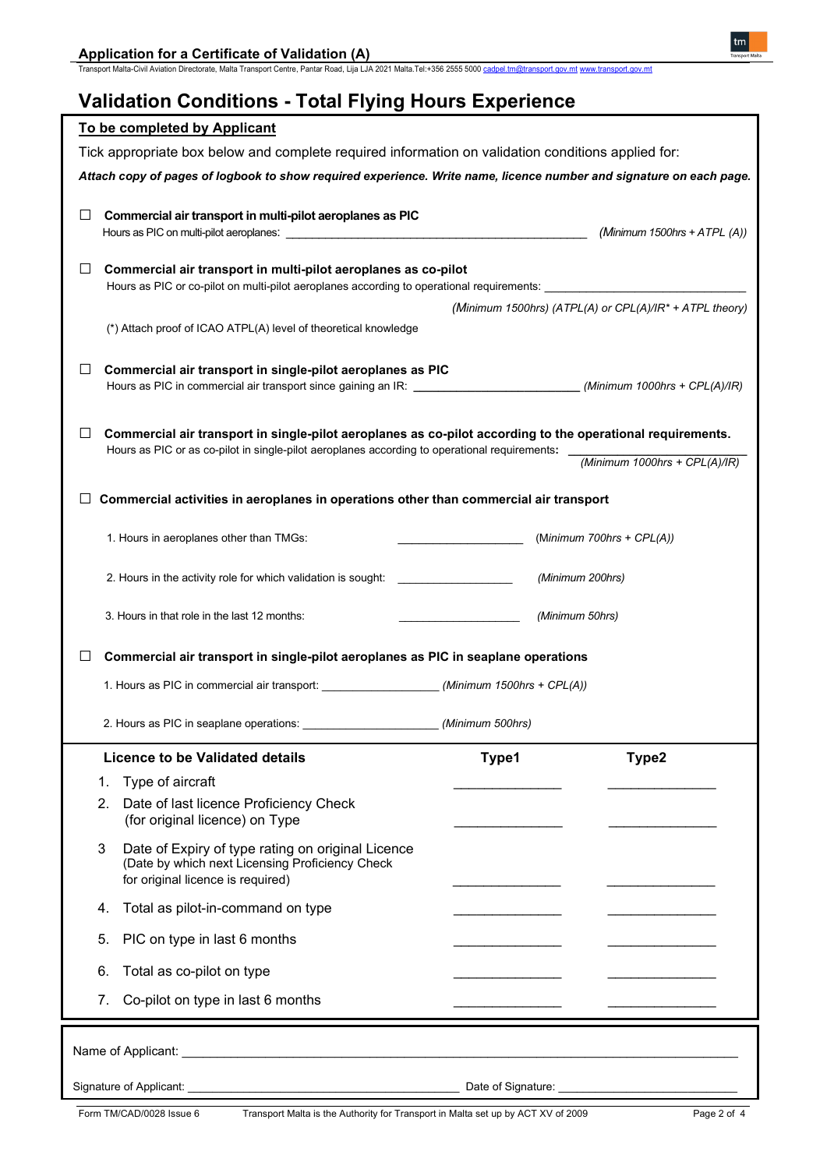Transport Malta-Civil Aviation Directorate, Malta Transport Centre, Pantar Road, Lija LJA 2021 Malta.Tel:+356 2555 5000 <u>cadpel.tm@transport.gov.mt</u> [www.transport.gov.mt](http://www.transport.gov.mt/)

# **Validation Conditions - Total Flying Hours Experience**

| To be completed by Applicant                                                                                                                                                                                                           |                  |                                                         |  |
|----------------------------------------------------------------------------------------------------------------------------------------------------------------------------------------------------------------------------------------|------------------|---------------------------------------------------------|--|
| Tick appropriate box below and complete required information on validation conditions applied for:                                                                                                                                     |                  |                                                         |  |
| Attach copy of pages of logbook to show required experience. Write name, licence number and signature on each page.                                                                                                                    |                  |                                                         |  |
| Commercial air transport in multi-pilot aeroplanes as PIC<br>⊔                                                                                                                                                                         |                  | (Minimum 1500hrs + $ATPL(A)$ )                          |  |
| Commercial air transport in multi-pilot aeroplanes as co-pilot<br>ப                                                                                                                                                                    |                  |                                                         |  |
| Hours as PIC or co-pilot on multi-pilot aeroplanes according to operational requirements: ____________________                                                                                                                         |                  |                                                         |  |
|                                                                                                                                                                                                                                        |                  | (Minimum 1500hrs) (ATPL(A) or CPL(A)/IR* + ATPL theory) |  |
| (*) Attach proof of ICAO ATPL(A) level of theoretical knowledge                                                                                                                                                                        |                  |                                                         |  |
| Commercial air transport in single-pilot aeroplanes as PIC<br>⊔<br>Hours as PIC in commercial air transport since gaining an IR: _____________________________(Minimum 1000hrs + CPL(A)/IR)                                            |                  |                                                         |  |
| Commercial air transport in single-pilot aeroplanes as co-pilot according to the operational requirements.<br>$\Box$                                                                                                                   |                  |                                                         |  |
| Hours as PIC or as co-pilot in single-pilot aeroplanes according to operational requirements: __                                                                                                                                       |                  | (Minimum 1000hrs + $CPL(A)/IR$ )                        |  |
|                                                                                                                                                                                                                                        |                  |                                                         |  |
| Commercial activities in aeroplanes in operations other than commercial air transport                                                                                                                                                  |                  |                                                         |  |
| 1. Hours in aeroplanes other than TMGs:                                                                                                                                                                                                |                  | (Minimum 700hrs + CPL(A))                               |  |
| 2. Hours in the activity role for which validation is sought:                                                                                                                                                                          | (Minimum 200hrs) |                                                         |  |
| 3. Hours in that role in the last 12 months:                                                                                                                                                                                           | (Minimum 50hrs)  |                                                         |  |
| Commercial air transport in single-pilot aeroplanes as PIC in seaplane operations<br>⊔                                                                                                                                                 |                  |                                                         |  |
| 1. Hours as PIC in commercial air transport: _____________________ (Minimum 1500hrs + CPL(A))                                                                                                                                          |                  |                                                         |  |
|                                                                                                                                                                                                                                        |                  |                                                         |  |
| Licence to be Validated details                                                                                                                                                                                                        | Type1            | Type2                                                   |  |
| Type of aircraft<br>1.                                                                                                                                                                                                                 |                  |                                                         |  |
| 2.<br>Date of last licence Proficiency Check<br>(for original licence) on Type                                                                                                                                                         |                  |                                                         |  |
| 3<br>Date of Expiry of type rating on original Licence<br>(Date by which next Licensing Proficiency Check<br>for original licence is required)                                                                                         |                  |                                                         |  |
| Total as pilot-in-command on type<br>4.                                                                                                                                                                                                |                  |                                                         |  |
| PIC on type in last 6 months<br>5.                                                                                                                                                                                                     |                  |                                                         |  |
| Total as co-pilot on type<br>6.                                                                                                                                                                                                        |                  |                                                         |  |
| Co-pilot on type in last 6 months<br>7.                                                                                                                                                                                                |                  |                                                         |  |
|                                                                                                                                                                                                                                        |                  |                                                         |  |
| Signature of Applicant:<br><u> Contract and Contract and Contract and Contract and Contract and Contract and Contract and Contract and Contract and Contract and Contract and Contract and Contract and Contract and Contract and </u> |                  |                                                         |  |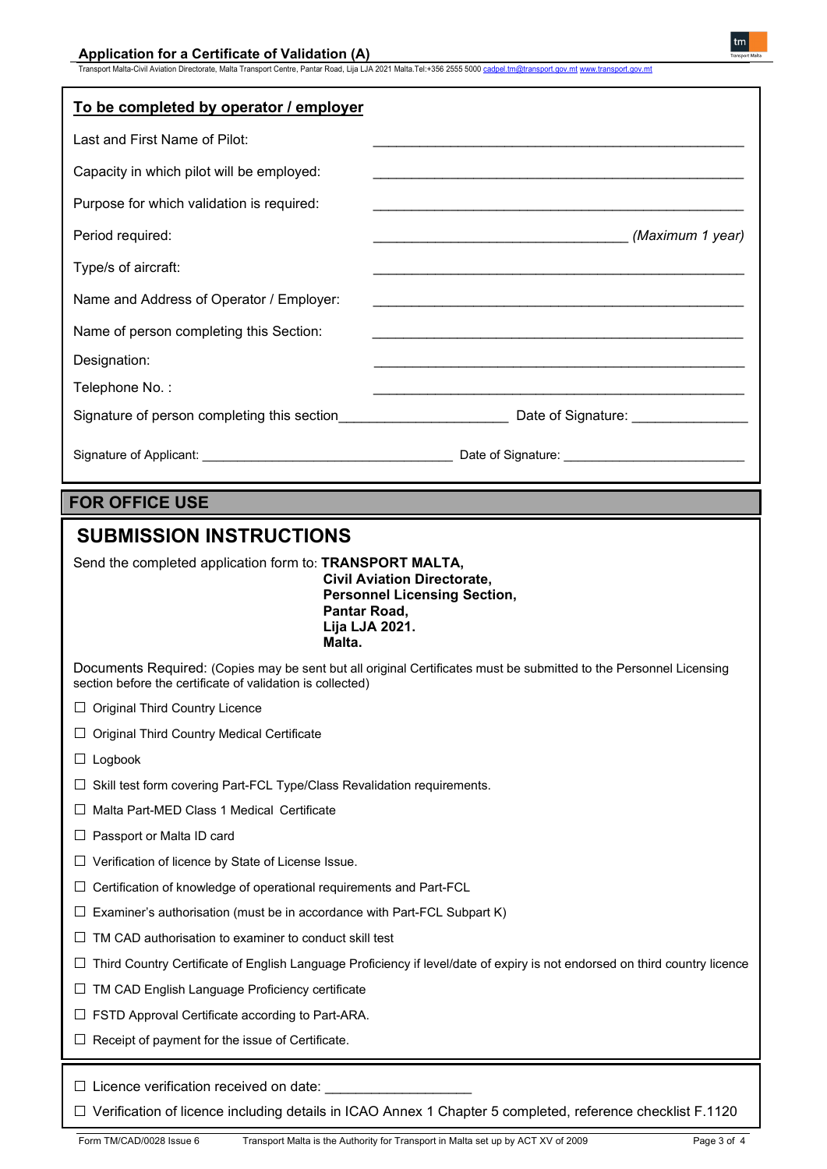| To be completed by operator / employer                                                                                                                                            |                                                                                                                            |  |
|-----------------------------------------------------------------------------------------------------------------------------------------------------------------------------------|----------------------------------------------------------------------------------------------------------------------------|--|
| Last and First Name of Pilot:                                                                                                                                                     |                                                                                                                            |  |
|                                                                                                                                                                                   |                                                                                                                            |  |
| Capacity in which pilot will be employed:                                                                                                                                         |                                                                                                                            |  |
| Purpose for which validation is required:                                                                                                                                         |                                                                                                                            |  |
| Period required:                                                                                                                                                                  | (Maximum 1 year)                                                                                                           |  |
| Type/s of aircraft:                                                                                                                                                               |                                                                                                                            |  |
| Name and Address of Operator / Employer:                                                                                                                                          |                                                                                                                            |  |
| Name of person completing this Section:                                                                                                                                           |                                                                                                                            |  |
| Designation:                                                                                                                                                                      |                                                                                                                            |  |
| Telephone No.:                                                                                                                                                                    |                                                                                                                            |  |
|                                                                                                                                                                                   |                                                                                                                            |  |
|                                                                                                                                                                                   |                                                                                                                            |  |
|                                                                                                                                                                                   |                                                                                                                            |  |
| <b>FOR OFFICE USE</b>                                                                                                                                                             |                                                                                                                            |  |
| <b>SUBMISSION INSTRUCTIONS</b>                                                                                                                                                    |                                                                                                                            |  |
| Send the completed application form to: TRANSPORT MALTA,<br><b>Civil Aviation Directorate,</b><br><b>Personnel Licensing Section,</b><br>Pantar Road,<br>Lija LJA 2021.<br>Malta. |                                                                                                                            |  |
| Documents Required: (Copies may be sent but all original Certificates must be submitted to the Personnel Licensing<br>section before the certificate of validation is collected)  |                                                                                                                            |  |
| <b>Original Third Country Licence</b>                                                                                                                                             |                                                                                                                            |  |
| <b>Original Third Country Medical Certificate</b>                                                                                                                                 |                                                                                                                            |  |
| Logbook                                                                                                                                                                           |                                                                                                                            |  |
| Skill test form covering Part-FCL Type/Class Revalidation requirements.                                                                                                           |                                                                                                                            |  |
| Malta Part-MED Class 1 Medical Certificate                                                                                                                                        |                                                                                                                            |  |
| Passport or Malta ID card                                                                                                                                                         |                                                                                                                            |  |
| Verification of licence by State of License Issue.                                                                                                                                |                                                                                                                            |  |
| Certification of knowledge of operational requirements and Part-FCL                                                                                                               |                                                                                                                            |  |
| Examiner's authorisation (must be in accordance with Part-FCL Subpart K)                                                                                                          |                                                                                                                            |  |
| TM CAD authorisation to examiner to conduct skill test                                                                                                                            |                                                                                                                            |  |
| ⊔                                                                                                                                                                                 | Third Country Certificate of English Language Proficiency if level/date of expiry is not endorsed on third country licence |  |
| TM CAD English Language Proficiency certificate                                                                                                                                   |                                                                                                                            |  |
| FSTD Approval Certificate according to Part-ARA.                                                                                                                                  |                                                                                                                            |  |
| Receipt of payment for the issue of Certificate.                                                                                                                                  |                                                                                                                            |  |
| $\Box$ Licence verification received on date:                                                                                                                                     | □ Verification of licence including details in ICAO Annex 1 Chapter 5 completed, reference checklist F.1120                |  |